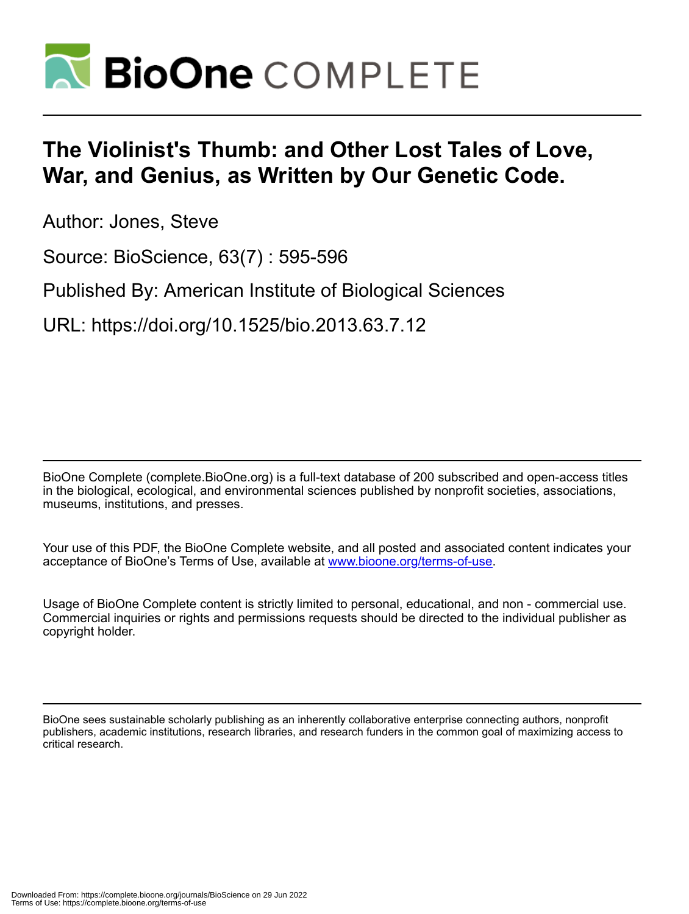

## **The Violinist's Thumb: and Other Lost Tales of Love, War, and Genius, as Written by Our Genetic Code.**

Author: Jones, Steve

Source: BioScience, 63(7) : 595-596

Published By: American Institute of Biological Sciences

URL: https://doi.org/10.1525/bio.2013.63.7.12

BioOne Complete (complete.BioOne.org) is a full-text database of 200 subscribed and open-access titles in the biological, ecological, and environmental sciences published by nonprofit societies, associations, museums, institutions, and presses.

Your use of this PDF, the BioOne Complete website, and all posted and associated content indicates your acceptance of BioOne's Terms of Use, available at www.bioone.org/terms-of-use.

Usage of BioOne Complete content is strictly limited to personal, educational, and non - commercial use. Commercial inquiries or rights and permissions requests should be directed to the individual publisher as copyright holder.

BioOne sees sustainable scholarly publishing as an inherently collaborative enterprise connecting authors, nonprofit publishers, academic institutions, research libraries, and research funders in the common goal of maximizing access to critical research.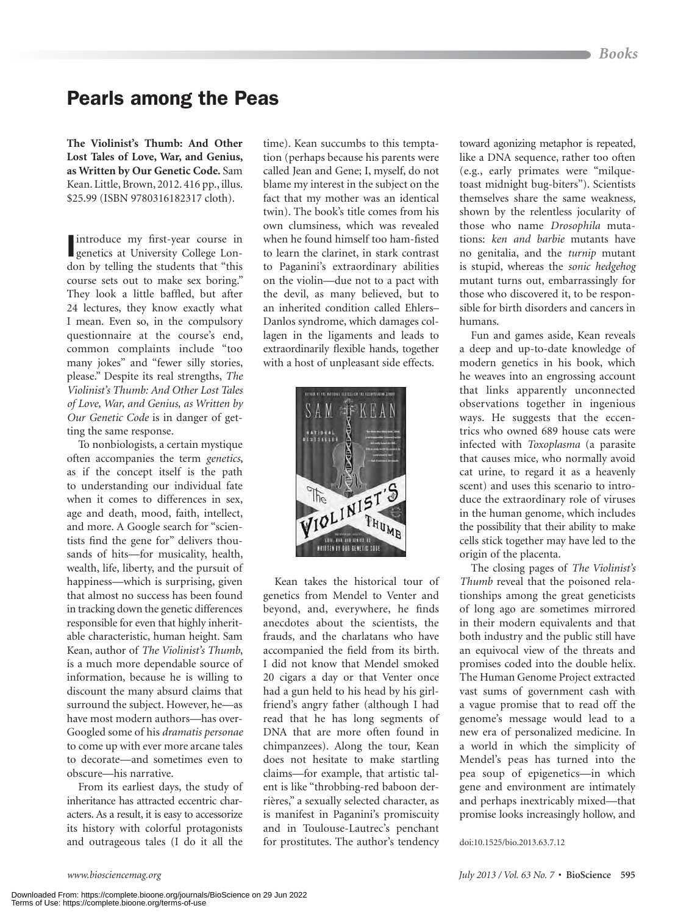## Pearls among the Peas

**The Violinist's Thumb: And Other Lost Tales of Love, War, and Genius, as Written by Our Genetic Code.** Sam Kean. Little, Brown, 2012. 416 pp., illus. \$25.99 (ISBN 9780316182317 cloth).

I introduce my first-year course in genetics at University College London by telling the students that "this course sets out to make sex boring." They look a little baffled, but after 24 lectures, they know exactly what I mean. Even so, in the compulsory questionnaire at the course's end, common complaints include "too many jokes" and "fewer silly stories, please." Despite its real strengths, *The Violinist's Thumb: And Other Lost Tales of Love, War, and Genius, as Written by Our Genetic Code* is in danger of getting the same response.

To nonbiologists, a certain mystique often accompanies the term *genetics*, as if the concept itself is the path to understanding our individual fate when it comes to differences in sex, age and death, mood, faith, intellect, and more. A Google search for "scientists find the gene for" delivers thousands of hits—for musicality, health, wealth, life, liberty, and the pursuit of happiness—which is surprising, given that almost no success has been found in tracking down the genetic differences responsible for even that highly inheritable characteristic, human height. Sam Kean, author of *The Violinist's Thumb*, is a much more dependable source of information, because he is willing to discount the many absurd claims that surround the subject. However, he—as have most modern authors—has over-Googled some of his *dramatis personae* to come up with ever more arcane tales to decorate—and sometimes even to obscure—his narrative.

From its earliest days, the study of inheritance has attracted eccentric characters. As a result, it is easy to accessorize its history with colorful protagonists and outrageous tales (I do it all the

time). Kean succumbs to this temptation (perhaps because his parents were called Jean and Gene; I, myself, do not blame my interest in the subject on the fact that my mother was an identical twin). The book's title comes from his own clumsiness, which was revealed when he found himself too ham-fisted to learn the clarinet, in stark contrast to Paganini's extraordinary abilities on the violin—due not to a pact with the devil, as many believed, but to an inherited condition called Ehlers– Danlos syndrome, which damages collagen in the ligaments and leads to extraordinarily flexible hands, together with a host of unpleasant side effects.



Kean takes the historical tour of genetics from Mendel to Venter and beyond, and, everywhere, he finds anecdotes about the scientists, the frauds, and the charlatans who have accompanied the field from its birth. I did not know that Mendel smoked 20 cigars a day or that Venter once had a gun held to his head by his girlfriend's angry father (although I had read that he has long segments of DNA that are more often found in chimpanzees). Along the tour, Kean does not hesitate to make startling claims—for example, that artistic talent is like "throbbing-red baboon derrières," a sexually selected character, as is manifest in Paganini's promiscuity and in Toulouse-Lautrec's penchant for prostitutes. The author's tendency toward agonizing metaphor is repeated, like a DNA sequence, rather too often (e.g., early primates were "milquetoast midnight bug-biters"). Scientists themselves share the same weakness, shown by the relentless jocularity of those who name *Drosophila* mutations: *ken and barbie* mutants have no genitalia, and the *turnip* mutant is stupid, whereas the *sonic hedgehog* mutant turns out, embarrassingly for those who discovered it, to be responsible for birth disorders and cancers in humans.

Fun and games aside, Kean reveals a deep and up-to-date knowledge of modern genetics in his book, which he weaves into an engrossing account that links apparently unconnected observations together in ingenious ways. He suggests that the eccentrics who owned 689 house cats were infected with *Toxoplasma* (a parasite that causes mice, who normally avoid cat urine, to regard it as a heavenly scent) and uses this scenario to introduce the extraordinary role of viruses in the human genome, which includes the possibility that their ability to make cells stick together may have led to the origin of the placenta.

The closing pages of *The Violinist's Thumb* reveal that the poisoned relationships among the great geneticists of long ago are sometimes mirrored in their modern equivalents and that both industry and the public still have an equivocal view of the threats and promises coded into the double helix. The Human Genome Project extracted vast sums of government cash with a vague promise that to read off the genome's message would lead to a new era of personalized medicine. In a world in which the simplicity of Mendel's peas has turned into the pea soup of epigenetics—in which gene and environment are intimately and perhaps inextricably mixed—that promise looks increasingly hollow, and

doi:10.1525/bio.2013.63.7.12